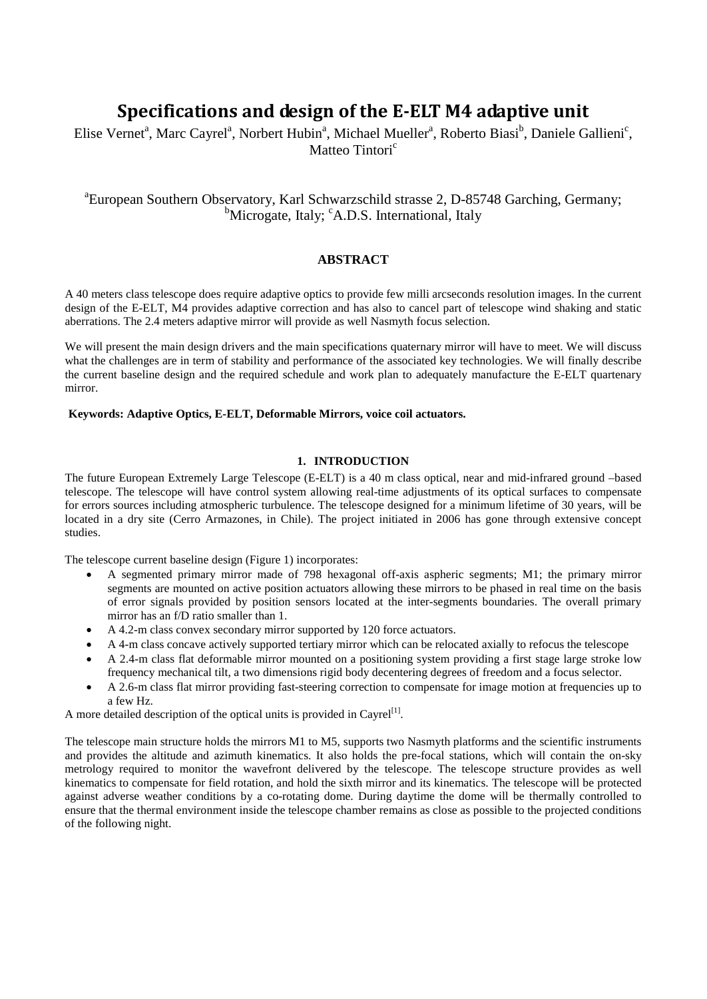# **Specifications and design of the E-ELT M4 adaptive unit**

Elise Vernet<sup>a</sup>, Marc Cayrel<sup>a</sup>, Norbert Hubin<sup>a</sup>, Michael Mueller<sup>a</sup>, Roberto Biasi<sup>b</sup>, Daniele Gallieni<sup>c</sup>, Matteo Tintori<sup>c</sup>

# a European Southern Observatory, Karl Schwarzschild strasse 2, D-85748 Garching, Germany; <sup>b</sup>Microgate, Italy; <sup>c</sup>A.D.S. International, Italy

# **ABSTRACT**

A 40 meters class telescope does require adaptive optics to provide few milli arcseconds resolution images. In the current design of the E-ELT, M4 provides adaptive correction and has also to cancel part of telescope wind shaking and static aberrations. The 2.4 meters adaptive mirror will provide as well Nasmyth focus selection.

We will present the main design drivers and the main specifications quaternary mirror will have to meet. We will discuss what the challenges are in term of stability and performance of the associated key technologies. We will finally describe the current baseline design and the required schedule and work plan to adequately manufacture the E-ELT quartenary mirror.

# **Keywords: Adaptive Optics, E-ELT, Deformable Mirrors, voice coil actuators.**

# **1. INTRODUCTION**

The future European Extremely Large Telescope (E-ELT) is a 40 m class optical, near and mid-infrared ground –based telescope. The telescope will have control system allowing real-time adjustments of its optical surfaces to compensate for errors sources including atmospheric turbulence. The telescope designed for a minimum lifetime of 30 years, will be located in a dry site (Cerro Armazones, in Chile). The project initiated in 2006 has gone through extensive concept studies.

The telescope current baseline design [\(Figure 1\)](#page-1-0) incorporates:

- A segmented primary mirror made of 798 hexagonal off-axis aspheric segments; M1; the primary mirror segments are mounted on active position actuators allowing these mirrors to be phased in real time on the basis of error signals provided by position sensors located at the inter-segments boundaries. The overall primary mirror has an f/D ratio smaller than 1.
- A 4.2-m class convex secondary mirror supported by 120 force actuators.
- A 4-m class concave actively supported tertiary mirror which can be relocated axially to refocus the telescope
- A 2.4-m class flat deformable mirror mounted on a positioning system providing a first stage large stroke low frequency mechanical tilt, a two dimensions rigid body decentering degrees of freedom and a focus selector.
- A 2.6-m class flat mirror providing fast-steering correction to compensate for image motion at frequencies up to a few Hz.

A more detailed description of the optical units is provided in Cayrel<sup>[1]</sup>.

The telescope main structure holds the mirrors M1 to M5, supports two Nasmyth platforms and the scientific instruments and provides the altitude and azimuth kinematics. It also holds the pre-focal stations, which will contain the on-sky metrology required to monitor the wavefront delivered by the telescope. The telescope structure provides as well kinematics to compensate for field rotation, and hold the sixth mirror and its kinematics. The telescope will be protected against adverse weather conditions by a co-rotating dome. During daytime the dome will be thermally controlled to ensure that the thermal environment inside the telescope chamber remains as close as possible to the projected conditions of the following night.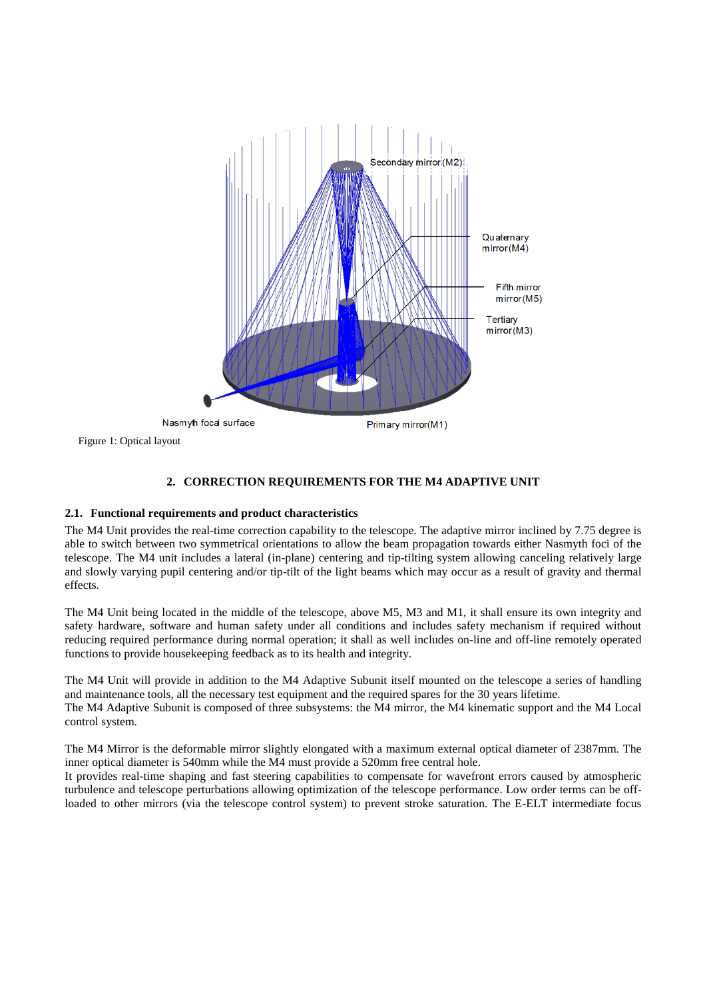

# **2. CORRECTION REQUIREMENTS FOR THE M4 ADAPTIVE UNIT**

# <span id="page-1-1"></span><span id="page-1-0"></span>**2.1. Functional requirements and product characteristics**

The M4 Unit provides the real-time correction capability to the telescope. The adaptive mirror inclined by 7.75 degree is able to switch between two symmetrical orientations to allow the beam propagation towards either Nasmyth foci of the telescope. The M4 unit includes a lateral (in-plane) centering and tip-tilting system allowing canceling relatively large and slowly varying pupil centering and/or tip-tilt of the light beams which may occur as a result of gravity and thermal effects.

The M4 Unit being located in the middle of the telescope, above M5, M3 and M1, it shall ensure its own integrity and safety hardware, software and human safety under all conditions and includes safety mechanism if required without reducing required performance during normal operation; it shall as well includes on-line and off-line remotely operated functions to provide housekeeping feedback as to its health and integrity.

The M4 Unit will provide in addition to the M4 Adaptive Subunit itself mounted on the telescope a series of handling and maintenance tools, all the necessary test equipment and the required spares for the 30 years lifetime. The M4 Adaptive Subunit is composed of three subsystems: the M4 mirror, the M4 kinematic support and the M4 Local control system.

The M4 Mirror is the deformable mirror slightly elongated with a maximum external optical diameter of 2387mm. The inner optical diameter is 540mm while the M4 must provide a 520mm free central hole.

It provides real-time shaping and fast steering capabilities to compensate for wavefront errors caused by atmospheric turbulence and telescope perturbations allowing optimization of the telescope performance. Low order terms can be offloaded to other mirrors (via the telescope control system) to prevent stroke saturation. The E-ELT intermediate focus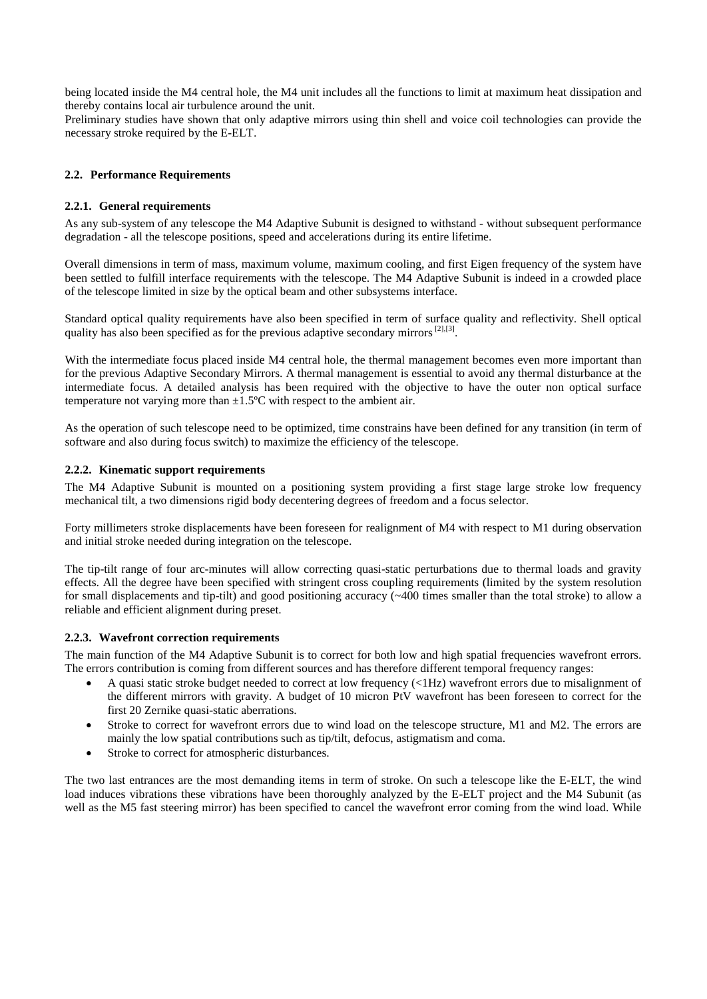being located inside the M4 central hole, the M4 unit includes all the functions to limit at maximum heat dissipation and thereby contains local air turbulence around the unit.

Preliminary studies have shown that only adaptive mirrors using thin shell and voice coil technologies can provide the necessary stroke required by the E-ELT.

# **2.2. Performance Requirements**

#### **2.2.1. General requirements**

As any sub-system of any telescope the M4 Adaptive Subunit is designed to withstand - without subsequent performance degradation - all the telescope positions, speed and accelerations during its entire lifetime.

Overall dimensions in term of mass, maximum volume, maximum cooling, and first Eigen frequency of the system have been settled to fulfill interface requirements with the telescope. The M4 Adaptive Subunit is indeed in a crowded place of the telescope limited in size by the optical beam and other subsystems interface.

Standard optical quality requirements have also been specified in term of surface quality and reflectivity. Shell optical quality has also been specified as for the previous adaptive secondary mirrors<sup>[2],[3]</sup>.

With the intermediate focus placed inside M4 central hole, the thermal management becomes even more important than for the previous Adaptive Secondary Mirrors. A thermal management is essential to avoid any thermal disturbance at the intermediate focus. A detailed analysis has been required with the objective to have the outer non optical surface temperature not varying more than  $\pm 1.5^{\circ}$ C with respect to the ambient air.

As the operation of such telescope need to be optimized, time constrains have been defined for any transition (in term of software and also during focus switch) to maximize the efficiency of the telescope.

#### **2.2.2. Kinematic support requirements**

The M4 Adaptive Subunit is mounted on a positioning system providing a first stage large stroke low frequency mechanical tilt, a two dimensions rigid body decentering degrees of freedom and a focus selector.

Forty millimeters stroke displacements have been foreseen for realignment of M4 with respect to M1 during observation and initial stroke needed during integration on the telescope.

The tip-tilt range of four arc-minutes will allow correcting quasi-static perturbations due to thermal loads and gravity effects. All the degree have been specified with stringent cross coupling requirements (limited by the system resolution for small displacements and tip-tilt) and good positioning accuracy  $(\sim 400$  times smaller than the total stroke) to allow a reliable and efficient alignment during preset.

#### **2.2.3. Wavefront correction requirements**

The main function of the M4 Adaptive Subunit is to correct for both low and high spatial frequencies wavefront errors. The errors contribution is coming from different sources and has therefore different temporal frequency ranges:

- A quasi static stroke budget needed to correct at low frequency (<1Hz) wavefront errors due to misalignment of the different mirrors with gravity. A budget of 10 micron PtV wavefront has been foreseen to correct for the first 20 Zernike quasi-static aberrations.
- Stroke to correct for wavefront errors due to wind load on the telescope structure, M1 and M2. The errors are mainly the low spatial contributions such as tip/tilt, defocus, astigmatism and coma.
- Stroke to correct for atmospheric disturbances.

The two last entrances are the most demanding items in term of stroke. On such a telescope like the E-ELT, the wind load induces vibrations these vibrations have been thoroughly analyzed by the E-ELT project and the M4 Subunit (as well as the M5 fast steering mirror) has been specified to cancel the wavefront error coming from the wind load. While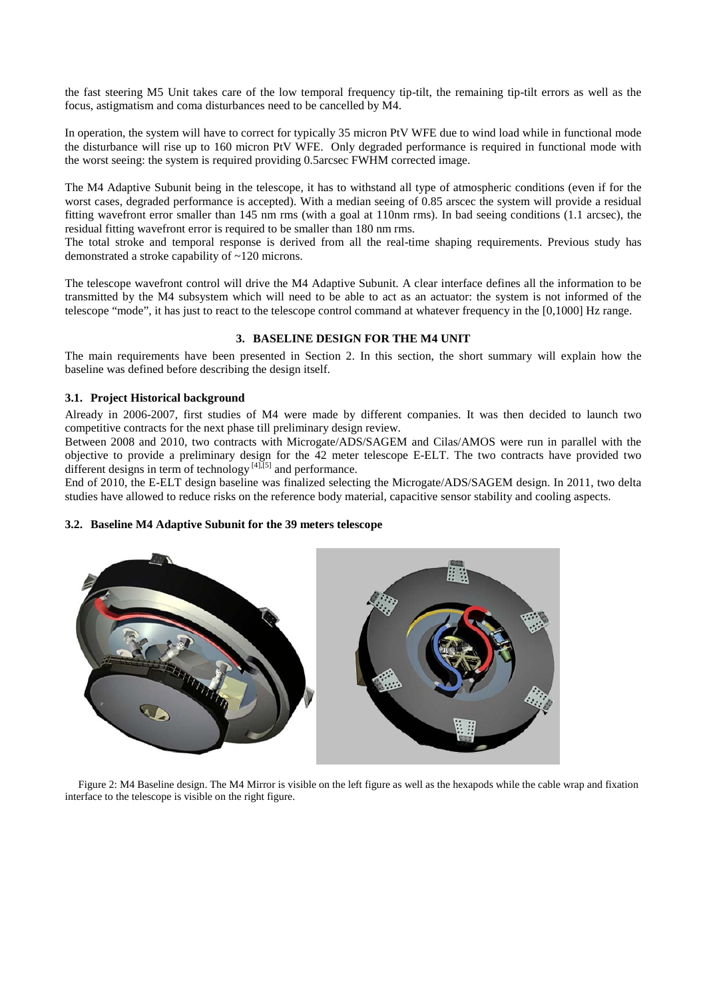the fast steering M5 Unit takes care of the low temporal frequency tip-tilt, the remaining tip-tilt errors as well as the focus, astigmatism and coma disturbances need to be cancelled by M4.

In operation, the system will have to correct for typically 35 micron PtV WFE due to wind load while in functional mode the disturbance will rise up to 160 micron PtV WFE. Only degraded performance is required in functional mode with the worst seeing: the system is required providing 0.5arcsec FWHM corrected image.

The M4 Adaptive Subunit being in the telescope, it has to withstand all type of atmospheric conditions (even if for the worst cases, degraded performance is accepted). With a median seeing of 0.85 arscec the system will provide a residual fitting wavefront error smaller than 145 nm rms (with a goal at 110nm rms). In bad seeing conditions (1.1 arcsec), the residual fitting wavefront error is required to be smaller than 180 nm rms.

The total stroke and temporal response is derived from all the real-time shaping requirements. Previous study has demonstrated a stroke capability of ~120 microns.

The telescope wavefront control will drive the M4 Adaptive Subunit. A clear interface defines all the information to be transmitted by the M4 subsystem which will need to be able to act as an actuator: the system is not informed of the telescope "mode", it has just to react to the telescope control command at whatever frequency in the [0,1000] Hz range.

# **3. BASELINE DESIGN FOR THE M4 UNIT**

The main requirements have been presented in Section [2.](#page-1-1) In this section, the short summary will explain how the baseline was defined before describing the design itself.

# **3.1. Project Historical background**

Already in 2006-2007, first studies of M4 were made by different companies. It was then decided to launch two competitive contracts for the next phase till preliminary design review.

Between 2008 and 2010, two contracts with Microgate/ADS/SAGEM and Cilas/AMOS were run in parallel with the objective to provide a preliminary design for the 42 meter telescope E-ELT. The two contracts have provided two different designs in term of technology  $[4]$ , $[5]$  and performance.

End of 2010, the E-ELT design baseline was finalized selecting the Microgate/ADS/SAGEM design. In 2011, two delta studies have allowed to reduce risks on the reference body material, capacitive sensor stability and cooling aspects.

#### **3.2. Baseline M4 Adaptive Subunit for the 39 meters telescope**



<span id="page-3-0"></span> Figure 2: M4 Baseline design. The M4 Mirror is visible on the left figure as well as the hexapods while the cable wrap and fixation interface to the telescope is visible on the right figure.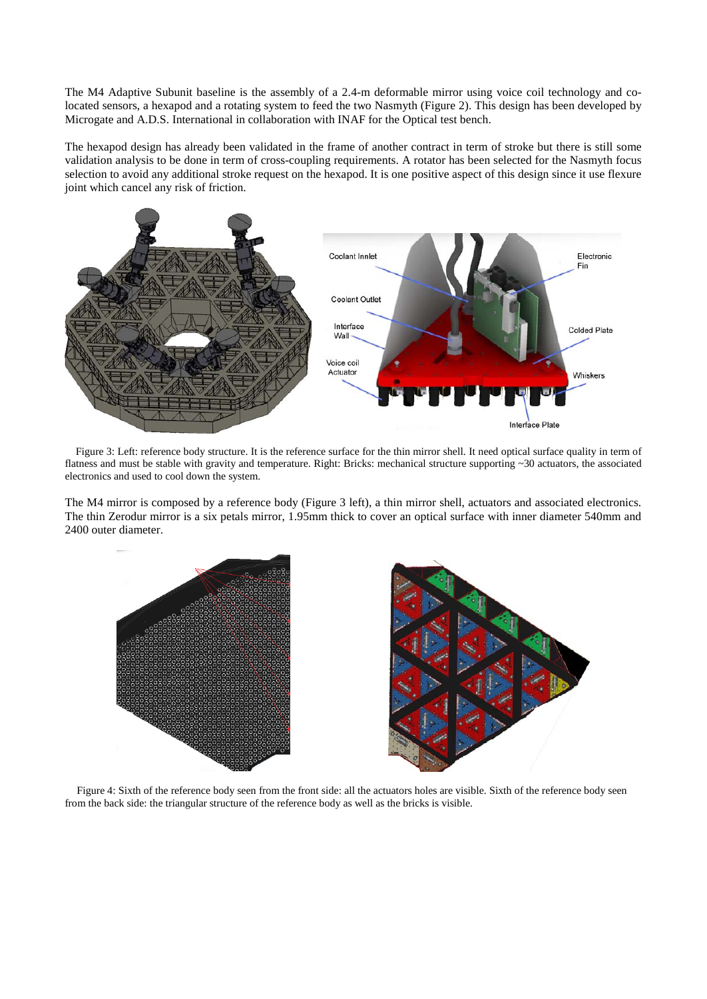The M4 Adaptive Subunit baseline is the assembly of a 2.4-m deformable mirror using voice coil technology and colocated sensors, a hexapod and a rotating system to feed the two Nasmyth [\(Figure 2\)](#page-3-0). This design has been developed by Microgate and A.D.S. International in collaboration with INAF for the Optical test bench.

The hexapod design has already been validated in the frame of another contract in term of stroke but there is still some validation analysis to be done in term of cross-coupling requirements. A rotator has been selected for the Nasmyth focus selection to avoid any additional stroke request on the hexapod. It is one positive aspect of this design since it use flexure joint which cancel any risk of friction.



<span id="page-4-0"></span> Figure 3: Left: reference body structure. It is the reference surface for the thin mirror shell. It need optical surface quality in term of flatness and must be stable with gravity and temperature. Right: Bricks: mechanical structure supporting ~30 actuators, the associated electronics and used to cool down the system.

The M4 mirror is composed by a reference body [\(Figure 3](#page-4-0) left), a thin mirror shell, actuators and associated electronics. The thin Zerodur mirror is a six petals mirror, 1.95mm thick to cover an optical surface with inner diameter 540mm and 2400 outer diameter.



<span id="page-4-1"></span> Figure 4: Sixth of the reference body seen from the front side: all the actuators holes are visible. Sixth of the reference body seen from the back side: the triangular structure of the reference body as well as the bricks is visible.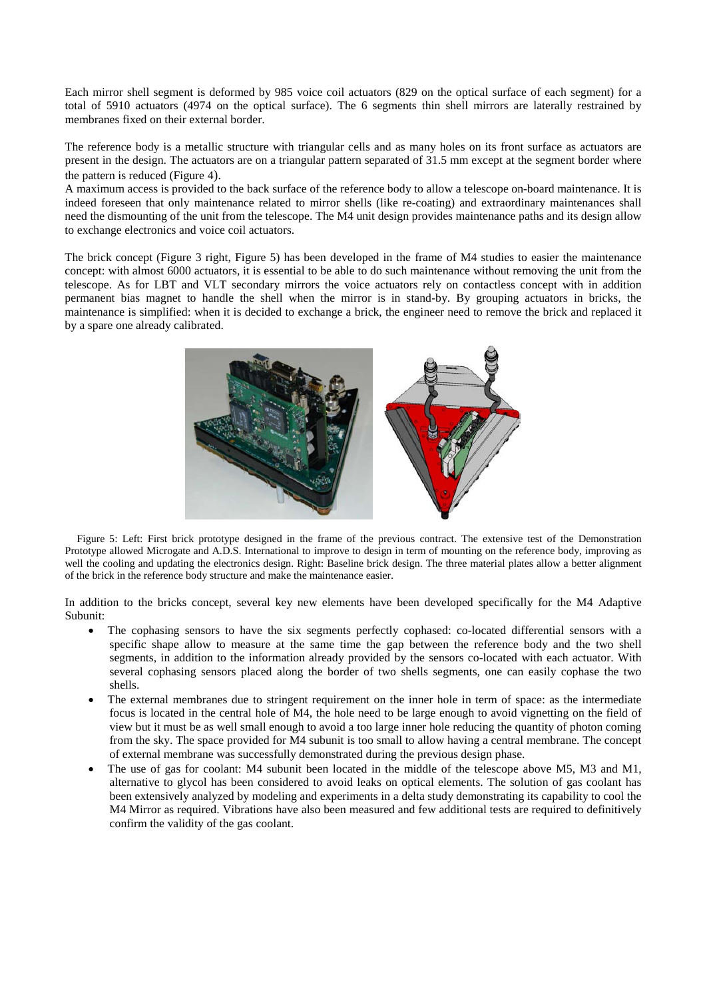Each mirror shell segment is deformed by 985 voice coil actuators (829 on the optical surface of each segment) for a total of 5910 actuators (4974 on the optical surface). The 6 segments thin shell mirrors are laterally restrained by membranes fixed on their external border.

The reference body is a metallic structure with triangular cells and as many holes on its front surface as actuators are present in the design. The actuators are on a triangular pattern separated of 31.5 mm except at the segment border where the pattern is reduced [\(Figure 4\)](#page-4-1).

A maximum access is provided to the back surface of the reference body to allow a telescope on-board maintenance. It is indeed foreseen that only maintenance related to mirror shells (like re-coating) and extraordinary maintenances shall need the dismounting of the unit from the telescope. The M4 unit design provides maintenance paths and its design allow to exchange electronics and voice coil actuators.

The brick concept [\(Figure 3](#page-4-0) right, [Figure 5\)](#page-5-0) has been developed in the frame of M4 studies to easier the maintenance concept: with almost 6000 actuators, it is essential to be able to do such maintenance without removing the unit from the telescope. As for LBT and VLT secondary mirrors the voice actuators rely on contactless concept with in addition permanent bias magnet to handle the shell when the mirror is in stand-by. By grouping actuators in bricks, the maintenance is simplified: when it is decided to exchange a brick, the engineer need to remove the brick and replaced it by a spare one already calibrated.



<span id="page-5-0"></span> Figure 5: Left: First brick prototype designed in the frame of the previous contract. The extensive test of the Demonstration Prototype allowed Microgate and A.D.S. International to improve to design in term of mounting on the reference body, improving as well the cooling and updating the electronics design. Right: Baseline brick design. The three material plates allow a better alignment of the brick in the reference body structure and make the maintenance easier.

In addition to the bricks concept, several key new elements have been developed specifically for the M4 Adaptive Subunit:

- The cophasing sensors to have the six segments perfectly cophased: co-located differential sensors with a specific shape allow to measure at the same time the gap between the reference body and the two shell segments, in addition to the information already provided by the sensors co-located with each actuator. With several cophasing sensors placed along the border of two shells segments, one can easily cophase the two shells.
- The external membranes due to stringent requirement on the inner hole in term of space: as the intermediate focus is located in the central hole of M4, the hole need to be large enough to avoid vignetting on the field of view but it must be as well small enough to avoid a too large inner hole reducing the quantity of photon coming from the sky. The space provided for M4 subunit is too small to allow having a central membrane. The concept of external membrane was successfully demonstrated during the previous design phase.
- The use of gas for coolant: M4 subunit been located in the middle of the telescope above M5, M3 and M1, alternative to glycol has been considered to avoid leaks on optical elements. The solution of gas coolant has been extensively analyzed by modeling and experiments in a delta study demonstrating its capability to cool the M4 Mirror as required. Vibrations have also been measured and few additional tests are required to definitively confirm the validity of the gas coolant.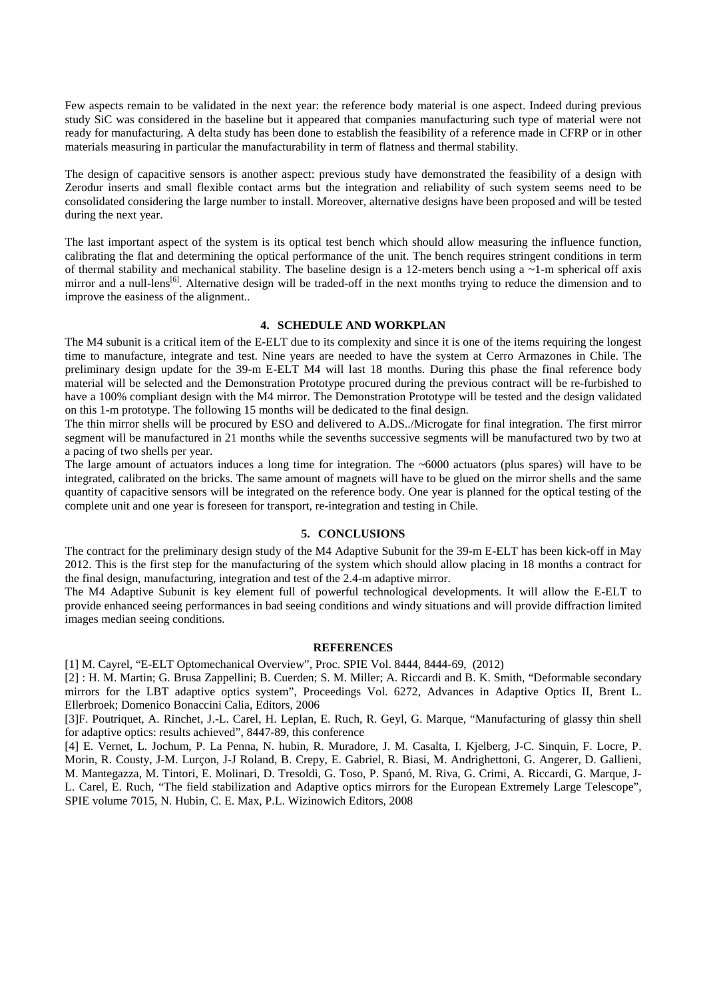Few aspects remain to be validated in the next year: the reference body material is one aspect. Indeed during previous study SiC was considered in the baseline but it appeared that companies manufacturing such type of material were not ready for manufacturing. A delta study has been done to establish the feasibility of a reference made in CFRP or in other materials measuring in particular the manufacturability in term of flatness and thermal stability.

The design of capacitive sensors is another aspect: previous study have demonstrated the feasibility of a design with Zerodur inserts and small flexible contact arms but the integration and reliability of such system seems need to be consolidated considering the large number to install. Moreover, alternative designs have been proposed and will be tested during the next year.

The last important aspect of the system is its optical test bench which should allow measuring the influence function, calibrating the flat and determining the optical performance of the unit. The bench requires stringent conditions in term of thermal stability and mechanical stability. The baseline design is a 12-meters bench using a  $\sim$ 1-m spherical off axis mirror and a null-lens<sup>[6]</sup>. Alternative design will be traded-off in the next months trying to reduce the dimension and to improve the easiness of the alignment..

#### **4. SCHEDULE AND WORKPLAN**

The M4 subunit is a critical item of the E-ELT due to its complexity and since it is one of the items requiring the longest time to manufacture, integrate and test. Nine years are needed to have the system at Cerro Armazones in Chile. The preliminary design update for the 39-m E-ELT M4 will last 18 months. During this phase the final reference body material will be selected and the Demonstration Prototype procured during the previous contract will be re-furbished to have a 100% compliant design with the M4 mirror. The Demonstration Prototype will be tested and the design validated on this 1-m prototype. The following 15 months will be dedicated to the final design.

The thin mirror shells will be procured by ESO and delivered to A.DS../Microgate for final integration. The first mirror segment will be manufactured in 21 months while the sevenths successive segments will be manufactured two by two at a pacing of two shells per year.

The large amount of actuators induces a long time for integration. The ~6000 actuators (plus spares) will have to be integrated, calibrated on the bricks. The same amount of magnets will have to be glued on the mirror shells and the same quantity of capacitive sensors will be integrated on the reference body. One year is planned for the optical testing of the complete unit and one year is foreseen for transport, re-integration and testing in Chile.

# **5. CONCLUSIONS**

The contract for the preliminary design study of the M4 Adaptive Subunit for the 39-m E-ELT has been kick-off in May 2012. This is the first step for the manufacturing of the system which should allow placing in 18 months a contract for the final design, manufacturing, integration and test of the 2.4-m adaptive mirror.

The M4 Adaptive Subunit is key element full of powerful technological developments. It will allow the E-ELT to provide enhanced seeing performances in bad seeing conditions and windy situations and will provide diffraction limited images median seeing conditions.

#### **REFERENCES**

[1] M. Cayrel, "E-ELT Optomechanical Overview", Proc. SPIE Vol. 8444, 8444-69, (2012)

[2] : H. M. Martin; G. Brusa Zappellini; B. Cuerden; S. M. Miller; A. Riccardi and B. K. Smith, "Deformable secondary mirrors for the LBT adaptive optics system", Proceedings Vol. 6272, Advances in Adaptive Optics II, Brent L. Ellerbroek; Domenico Bonaccini Calia, Editors, 2006

[3]F. Poutriquet, A. Rinchet, J.-L. Carel, H. Leplan, E. Ruch, R. Geyl, G. Marque, "Manufacturing of glassy thin shell for adaptive optics: results achieved", 8447-89, this conference

[4] E. Vernet, L. Jochum, P. La Penna, N. hubin, R. Muradore, J. M. Casalta, I. Kjelberg, J-C. Sinquin, F. Locre, P. Morin, R. Cousty, J-M. Lurçon, J-J Roland, B. Crepy, E. Gabriel, R. Biasi, M. Andrighettoni, G. Angerer, D. Gallieni, M. Mantegazza, M. Tintori, E. Molinari, D. Tresoldi, G. Toso, P. Spanó, M. Riva, G. Crimi, A. Riccardi, G. Marque, J-L. Carel, E. Ruch, "The field stabilization and Adaptive optics mirrors for the European Extremely Large Telescope", SPIE volume 7015, N. Hubin, C. E. Max, P.L. Wizinowich Editors, 2008